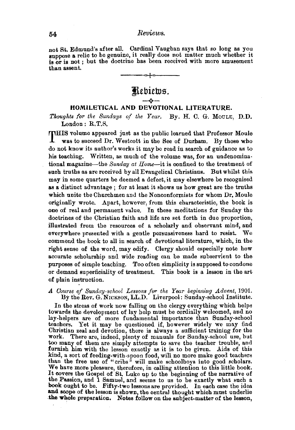not St. Edmund's after all. Cardinal Yaugban says that so long as you suppose a relic to be genuine, it really does not matter much whether it is or is not; but the doctrine has been received with more amusement than assent.



## HOMILETICAL AND DEVOTIONAL LITERATURE.

*Thoughts for the Sundays of the Year.* By. H. C. G. MOULE, D.D. London: R.T.S.

THIS volume appeared just as the public learned that Professor Moule was to succeed Dr. Westcott in the See of Durham. By those who do not know its author's works it may be read in search of guidance as to his teaching. Written, as much of the volume was, for an undenominational magazine-the *Sunday at Home-it* is oonfined to the treatment of such truths as are received by all Evangelical Christians. But whilst this may in some quarters be deemed a defect, it may elsewhere be recognised as a distinct advantage; for at least it shows us how great are the truths which unite the Churchmen and the Nonconformists for whom Dr. Moule originally wrote. Apart, however, from this characteristic, the book is one of real and permanent value. In these meditations for Sunday the doctrines of the Christian faith and life are set forth in due proportion, illustrated from the resources of a scholarly and observant mind, and everywhere presented with a gentle persuasiveness hard to resist. We commend the book to all in search of devotional literature, which, in the right sense of the word, may edify. Clergy should especially note how accurate scholarship and wide reading can be made subservient to the purposes of simple teaching. Too often simplicity is supposed to condone or demand superficiality of treatment. This book is a lesson in the art of plain instruction.

*A OoU1"1!6 of Sunday-school Les8ons for the Yea1' beginning Advent,* 1901. By the Rev. G. NICKSON, LL.D. Liverpool: Sunday-school Institute.

In the stress of work now falling on the clergy everything which helps towards the development of lay help must be cordially welcomed, and no towards the development of lay help must be cordially welcomed, and no lay-helpers are of more fundamental importance than Sunday-school teachers. Yet it may be questioned if, however widely we may find Christian zeal and devotion, there is always a sufficient training for the work. There are, indeed, plenty of manuals for Sunday-school use, but too many of them are simply attempts to save the teacher trouble, and furnish him with the lesson exactly as it is to be given. Aids of this kind, a sort of feeding-with-spoon food, will no more make good teachers than the free use of "cribs" will make schoolboys into good scholars. We have more pleasure, therefore, in calling attention to this little book. It oovers the Gospel of St. Luke up to the beginning of the narrative of the Passion, and 1 Samuel, and seems to us to be exactly what such a book ought to be. Fifty-two lessons are provided. In each case the idea and scope of the lesson is shown, the central thought which must underlie .the whole preparation. Notes follow on the subject-matter of the lesson,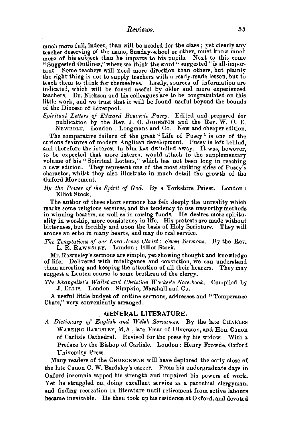much more full, indeed, than will be needed for the class; yet clearly any teacher deserving of the name, Sunday-school or other, must know much the name of the subject than he imparts to his pupils. Next to this come "Suggested Outlines," where we think the word "suggested "is all-important. Some teachers will need more direction than others, but plainly the right thing is not to supply teachers with a ready-made lesson, but to teach them to think for themselves. Lastly, sources of information are indicated, which will be found useful by older and more experienced teachers. Dr. Nickson and his colleagues are to be congratulated on this little work, and we trust that it will be found useful beyond the bounds of the Diocese of Liverpool.

Spiritual Letters of Edward Bourerie Pusey. Edited and prepared for publication by the Rev. J. O. JOHNSTON and the Rev. W. C. E.

NEWBOLT. London : Longmans and Co. New and cheaper edition, The comparative failure of the great "Life of Pusey" is one of the curious features of modern Anglican development. Pusey is left behind, and therefore the interest in him has dwindled away. It was, however, to be expected that more interest would attach to the supplementary volume of his "Spiritual Letters," which has not been long in reaching a new edition. They represent one of the most striking sides of Pusey's character, whilst they also illustrate in much detail the growth of the Oxford Movement.

*By the Power of the Spirit of God.* By a Yorkshire Priest. London: Elliot Stock.

The author of these short sermons has felt deeply the unreality which marks some religious services, and the tendency to use unworthy methods in winning hearers, as well as in raising funds. He desires more spirituality in worship, more consistency in life. His protests are made without bitterness, but forcibly and upon the basis of Holy Scripture. They will arouse an echo in many hearts, and may do real service.

*The Temptations of our Lord Jesus Christ: Seven Sermons, By the Rev.* L. R. RAWNSLEY. London: Elliot Stock,

Mr. Rawnsley's sermons are simple, yet showing thought and knowledge of life. Delivered with intelligence and conviction, we can understand them arresting and keeping the attention of all their hearers. They may suggest a Lenten course to some brethren of the clergy.

The Evangelist's Wallet and Christian Worker's Note-book. Compiled by J. ELus. London : Simpkin, Marshall and Co.

A useful little budget of outline sermons, addresses and "Temperance Chats,'' very conveniently arranged.

## GENERAL LITERATURE.

*A Dictionary of English and Welsh Surnames.* By the late CHARLES WAREING BARDSLEY, M.A., late Vicar of Ulverston, and Hon. Canon of Carlisle Cathedral. Revised for the press by his widow. With a Preface by the Bishop of Carlisle. London : Henry Frowde, Oxford University Press.

Many readers of the CHURCHMAN will have deplored the early close of the late Canon C. W. Bardsley's career. From his undergraduate days in Oxford insomnia sapped his strength and impaired his powers of work. Yet he struggled on, doing excellent service as a parochial clergyman, and finding recreation in literature until retirement from active labours became inevitable. He then took up his residenee at Oxford, and devoted